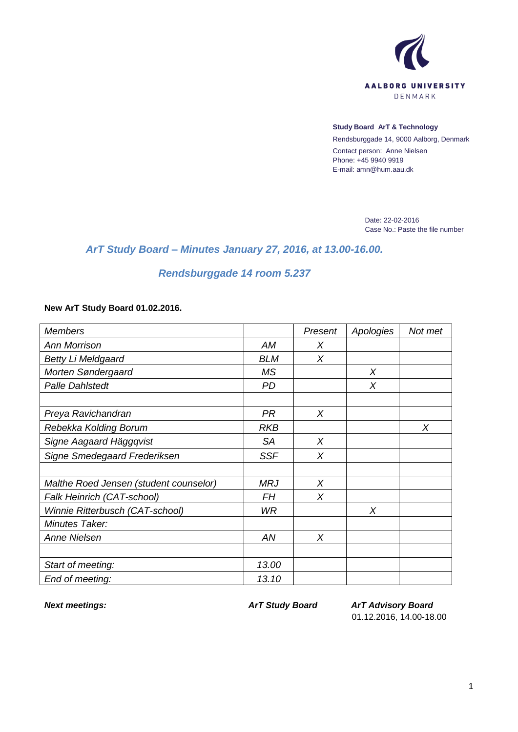

## **Study Board ArT & Technology**

Rendsburggade 14, 9000 Aalborg, Denmark Contact person: Anne Nielsen Phone: +45 9940 9919 E-mail: amn@hum.aau.dk

> Date: 22-02-2016 Case No.: Paste the file number

## *ArT Study Board – Minutes January 27, 2016, at 13.00-16.00.*

## *Rendsburggade 14 room 5.237*

## **New ArT Study Board 01.02.2016.**

| <b>Members</b>                         |            | Present | Apologies | Not met |
|----------------------------------------|------------|---------|-----------|---------|
| <b>Ann Morrison</b>                    | AM         | Χ       |           |         |
| <b>Betty Li Meldgaard</b>              | <b>BLM</b> | $\chi$  |           |         |
| Morten Søndergaard                     | <b>MS</b>  |         | Χ         |         |
| <b>Palle Dahlstedt</b>                 | <b>PD</b>  |         | X         |         |
|                                        |            |         |           |         |
| Preya Ravichandran                     | <b>PR</b>  | X       |           |         |
| Rebekka Kolding Borum                  | <b>RKB</b> |         |           | X       |
| Signe Aagaard Häggqvist                | <b>SA</b>  | X       |           |         |
| Signe Smedegaard Frederiksen           | <b>SSF</b> | X       |           |         |
|                                        |            |         |           |         |
| Malthe Roed Jensen (student counselor) | <b>MRJ</b> | X       |           |         |
| Falk Heinrich (CAT-school)             | FН         | X       |           |         |
| Winnie Ritterbusch (CAT-school)        | <b>WR</b>  |         | X         |         |
| Minutes Taker:                         |            |         |           |         |
| <b>Anne Nielsen</b>                    | AN         | $\chi$  |           |         |
|                                        |            |         |           |         |
| Start of meeting:                      | 13.00      |         |           |         |
| End of meeting:                        | 13.10      |         |           |         |

*Next meetings: ArT Study Board ArT Advisory Board* 01.12.2016, 14.00-18.00